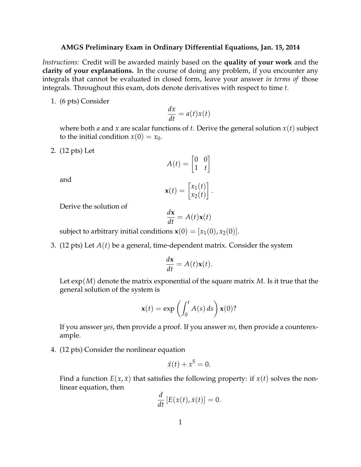## **AMGS Preliminary Exam in Ordinary Differential Equations, Jan. 15, 2014**

*Instructions:* Credit will be awarded mainly based on the **quality of your work** and the **clarity of your explanations.** In the course of doing any problem, if you encounter any integrals that cannot be evaluated in closed form, leave your answer *in terms of* those integrals. Throughout this exam, dots denote derivatives with respect to time *t*.

1. (6 pts) Consider

$$
\frac{dx}{dt} = a(t)x(t)
$$

where both *a* and *x* are scalar functions of *t*. Derive the general solution *x*(*t*) subject to the initial condition  $x(0) = x_0$ .

2. (12 pts) Let

$$
A(t) = \begin{bmatrix} 0 & 0 \\ 1 & t \end{bmatrix}
$$

and

$$
\mathbf{x}(t) = \begin{bmatrix} x_1(t) \\ x_2(t) \end{bmatrix}.
$$

Derive the solution of

$$
\frac{d\mathbf{x}}{dt} = A(t)\mathbf{x}(t)
$$

subject to arbitrary initial conditions  $\mathbf{x}(0) = [x_1(0), x_2(0)].$ 

3. (12 pts) Let *A*(*t*) be a general, time-dependent matrix. Consider the system

$$
\frac{d\mathbf{x}}{dt} = A(t)\mathbf{x}(t).
$$

Let exp(*M*) denote the matrix exponential of the square matrix *M*. Is it true that the general solution of the system is

$$
\mathbf{x}(t) = \exp\left(\int_0^t A(s) \, ds\right) \mathbf{x}(0)?
$$

If you answer *yes*, then provide a proof. If you answer *no*, then provide a counterexample.

4. (12 pts) Consider the nonlinear equation

$$
\ddot{x}(t) + x^5 = 0.
$$

Find a function  $E(x, \dot{x})$  that satisfies the following property: if  $x(t)$  solves the nonlinear equation, then

$$
\frac{d}{dt}\left[E(x(t),\dot{x}(t)\right]=0.
$$